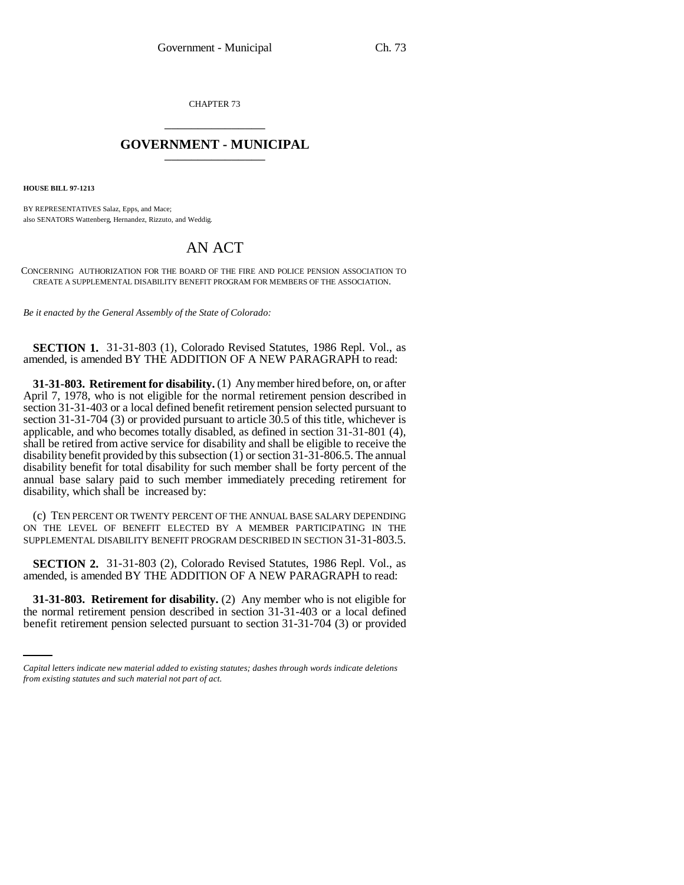CHAPTER 73 \_\_\_\_\_\_\_\_\_\_\_\_\_\_\_

## **GOVERNMENT - MUNICIPAL** \_\_\_\_\_\_\_\_\_\_\_\_\_\_\_

**HOUSE BILL 97-1213**

BY REPRESENTATIVES Salaz, Epps, and Mace; also SENATORS Wattenberg, Hernandez, Rizzuto, and Weddig.

## AN ACT

CONCERNING AUTHORIZATION FOR THE BOARD OF THE FIRE AND POLICE PENSION ASSOCIATION TO CREATE A SUPPLEMENTAL DISABILITY BENEFIT PROGRAM FOR MEMBERS OF THE ASSOCIATION.

*Be it enacted by the General Assembly of the State of Colorado:*

## **SECTION 1.** 31-31-803 (1), Colorado Revised Statutes, 1986 Repl. Vol., as amended, is amended BY THE ADDITION OF A NEW PARAGRAPH to read:

**31-31-803. Retirement for disability.** (1) Any member hired before, on, or after April 7, 1978, who is not eligible for the normal retirement pension described in section 31-31-403 or a local defined benefit retirement pension selected pursuant to section 31-31-704 (3) or provided pursuant to article  $30.5$  of this title, whichever is applicable, and who becomes totally disabled, as defined in section 31-31-801 (4), shall be retired from active service for disability and shall be eligible to receive the disability benefit provided by this subsection (1) or section 31-31-806.5. The annual disability benefit for total disability for such member shall be forty percent of the annual base salary paid to such member immediately preceding retirement for disability, which shall be increased by:

(c) TEN PERCENT OR TWENTY PERCENT OF THE ANNUAL BASE SALARY DEPENDING ON THE LEVEL OF BENEFIT ELECTED BY A MEMBER PARTICIPATING IN THE SUPPLEMENTAL DISABILITY BENEFIT PROGRAM DESCRIBED IN SECTION 31-31-803.5.

**SECTION 2.** 31-31-803 (2), Colorado Revised Statutes, 1986 Repl. Vol., as amended, is amended BY THE ADDITION OF A NEW PARAGRAPH to read:

 **31-31-803. Retirement for disability.** (2) Any member who is not eligible for the normal retirement pension described in section 31-31-403 or a local defined benefit retirement pension selected pursuant to section 31-31-704 (3) or provided

*Capital letters indicate new material added to existing statutes; dashes through words indicate deletions from existing statutes and such material not part of act.*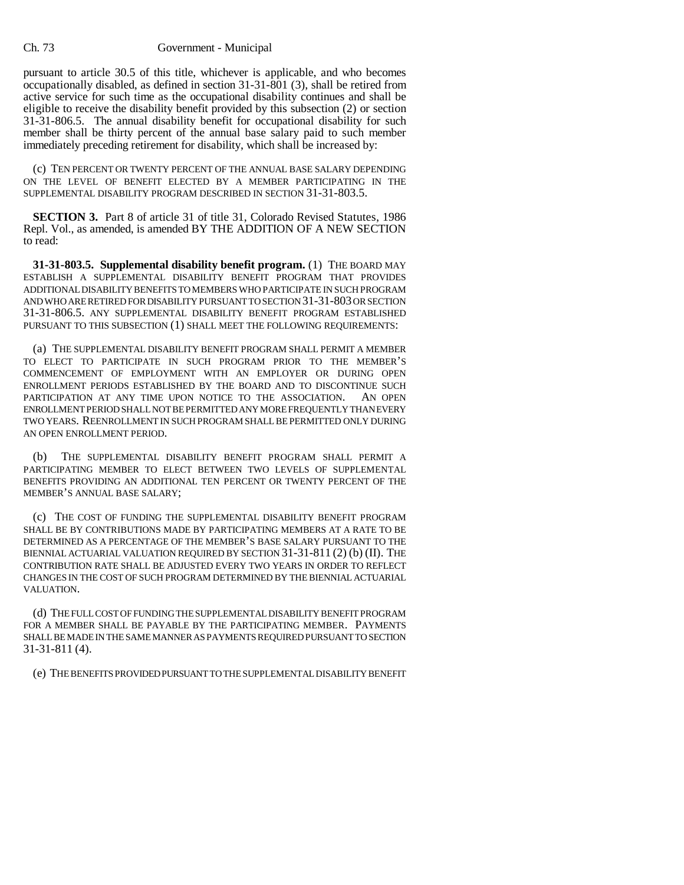## Ch. 73 Government - Municipal

pursuant to article 30.5 of this title, whichever is applicable, and who becomes occupationally disabled, as defined in section 31-31-801 (3), shall be retired from active service for such time as the occupational disability continues and shall be eligible to receive the disability benefit provided by this subsection (2) or section 31-31-806.5. The annual disability benefit for occupational disability for such member shall be thirty percent of the annual base salary paid to such member immediately preceding retirement for disability, which shall be increased by:

(c) TEN PERCENT OR TWENTY PERCENT OF THE ANNUAL BASE SALARY DEPENDING ON THE LEVEL OF BENEFIT ELECTED BY A MEMBER PARTICIPATING IN THE SUPPLEMENTAL DISABILITY PROGRAM DESCRIBED IN SECTION 31-31-803.5.

**SECTION 3.** Part 8 of article 31 of title 31, Colorado Revised Statutes, 1986 Repl. Vol., as amended, is amended BY THE ADDITION OF A NEW SECTION to read:

**31-31-803.5. Supplemental disability benefit program.** (1) THE BOARD MAY ESTABLISH A SUPPLEMENTAL DISABILITY BENEFIT PROGRAM THAT PROVIDES ADDITIONAL DISABILITY BENEFITS TO MEMBERS WHO PARTICIPATE IN SUCH PROGRAM AND WHO ARE RETIRED FOR DISABILITY PURSUANT TO SECTION 31-31-803 OR SECTION 31-31-806.5. ANY SUPPLEMENTAL DISABILITY BENEFIT PROGRAM ESTABLISHED PURSUANT TO THIS SUBSECTION (1) SHALL MEET THE FOLLOWING REQUIREMENTS:

(a) THE SUPPLEMENTAL DISABILITY BENEFIT PROGRAM SHALL PERMIT A MEMBER TO ELECT TO PARTICIPATE IN SUCH PROGRAM PRIOR TO THE MEMBER'S COMMENCEMENT OF EMPLOYMENT WITH AN EMPLOYER OR DURING OPEN ENROLLMENT PERIODS ESTABLISHED BY THE BOARD AND TO DISCONTINUE SUCH PARTICIPATION AT ANY TIME UPON NOTICE TO THE ASSOCIATION. AN OPEN ENROLLMENT PERIOD SHALL NOT BE PERMITTED ANY MORE FREQUENTLY THAN EVERY TWO YEARS. REENROLLMENT IN SUCH PROGRAM SHALL BE PERMITTED ONLY DURING AN OPEN ENROLLMENT PERIOD.

(b) THE SUPPLEMENTAL DISABILITY BENEFIT PROGRAM SHALL PERMIT A PARTICIPATING MEMBER TO ELECT BETWEEN TWO LEVELS OF SUPPLEMENTAL BENEFITS PROVIDING AN ADDITIONAL TEN PERCENT OR TWENTY PERCENT OF THE MEMBER'S ANNUAL BASE SALARY;

(c) THE COST OF FUNDING THE SUPPLEMENTAL DISABILITY BENEFIT PROGRAM SHALL BE BY CONTRIBUTIONS MADE BY PARTICIPATING MEMBERS AT A RATE TO BE DETERMINED AS A PERCENTAGE OF THE MEMBER'S BASE SALARY PURSUANT TO THE BIENNIAL ACTUARIAL VALUATION REQUIRED BY SECTION 31-31-811 (2) (b) (II). THE CONTRIBUTION RATE SHALL BE ADJUSTED EVERY TWO YEARS IN ORDER TO REFLECT CHANGES IN THE COST OF SUCH PROGRAM DETERMINED BY THE BIENNIAL ACTUARIAL VALUATION.

(d) THE FULL COST OF FUNDING THE SUPPLEMENTAL DISABILITY BENEFIT PROGRAM FOR A MEMBER SHALL BE PAYABLE BY THE PARTICIPATING MEMBER. PAYMENTS SHALL BE MADE IN THE SAME MANNER AS PAYMENTS REQUIRED PURSUANT TO SECTION 31-31-811 (4).

(e) THE BENEFITS PROVIDED PURSUANT TO THE SUPPLEMENTAL DISABILITY BENEFIT